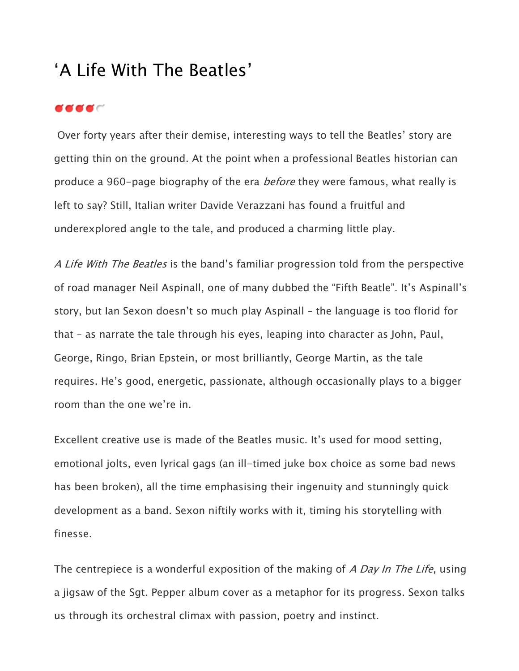## 'A Life With The Beatles'

## **e e e** c

Over forty years after their demise, interesting ways to tell the Beatles' story are getting thin on the ground. At the point when a professional Beatles historian can produce a [960-page biography](http://www.amazon.co.uk/Beatles-All-These-Years-Tune/dp/0316729604/ref=sr_1_1?s=books&ie=UTF8&qid=1439549639&sr=1-1&keywords=the+beatles) of the era *before* they were famous, what really is left to say? Still, Italian writer Davide Verazzani has found a fruitful and underexplored angle to the tale, and produced a charming little play.

[A Life With The Beatles](https://tickets.edfringe.com/whats-on/life-with-the-beatles) is the band's familiar progression told from the perspective of road manager [Neil Aspinall](https://en.wikipedia.org/wiki/Neil_Aspinall), one of many dubbed the "Fifth Beatle". It's Aspinall's story, but [Ian Sexon](http://www.imdb.com/name/nm0786633/) doesn't so much play Aspinall – the language is too florid for that – as narrate the tale through his eyes, leaping into character as John, Paul, George, Ringo, [Brian Epstein,](https://en.wikipedia.org/wiki/Brian_Epstein) or most brilliantly, [George Martin,](https://en.wikipedia.org/wiki/George_Martin) as the tale requires. He's good, energetic, passionate, although occasionally plays to a bigger room than the one we're in.

Excellent creative use is made of the Beatles music. It's used for mood setting, emotional jolts, even lyrical gags (an ill-timed juke box choice as some bad news has been broken), all the time emphasising their ingenuity and stunningly quick development as a band. Sexon niftily works with it, timing his storytelling with finesse.

The centrepiece is a wonderful exposition of the making of [A Day In The Life](https://www.youtube.com/watch?v=P-Q9D4dcYng), using a jigsaw of the [Sgt. Pepper](https://en.wikipedia.org/wiki/Sgt._Pepper%27s_Lonely_Hearts_Club_Band) album cover as a metaphor for its progress. Sexon talks us through its orchestral climax with passion, poetry and instinct.